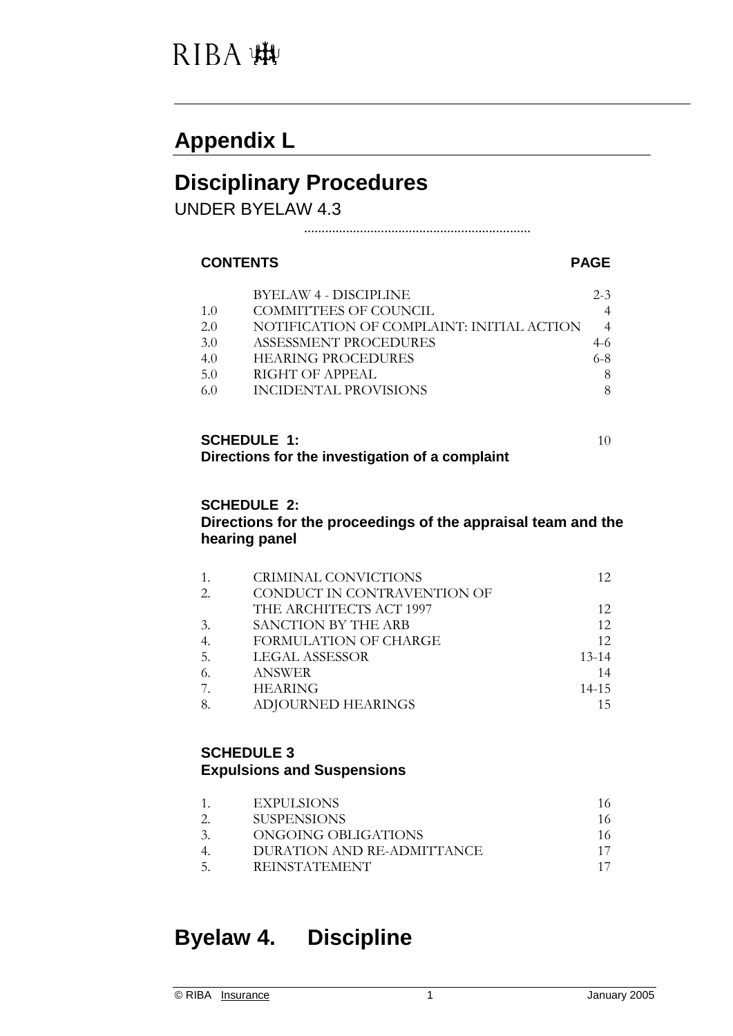### RIBA :#

### **Appendix L**

### **Disciplinary Procedures**

UNDER BYELAW 4.3

.................................................................

#### **CONTENTS PAGE**

|     | <b>BYELAW 4 - DISCIPLINE</b>              | $2 - 3$ |
|-----|-------------------------------------------|---------|
| 1.0 | COMMITTEES OF COUNCIL                     |         |
| 2.0 | NOTIFICATION OF COMPLAINT: INITIAL ACTION |         |
| 3.0 | ASSESSMENT PROCEDURES                     | $4-6$   |
| 4.0 | <b>HEARING PROCEDURES</b>                 | $6 - 8$ |
| 5.0 | RIGHT OF APPEAL                           | 8       |
| 60  | INCIDENTAL PROVISIONS                     | 8       |
|     |                                           |         |

#### **SCHEDULE 1:**  $10$ **Directions for the investigation of a complaint**

#### **SCHEDULE 2:**

#### **Directions for the proceedings of the appraisal team and the hearing panel**

|    | CRIMINAL CONVICTIONS        | 12        |
|----|-----------------------------|-----------|
| 2. | CONDUCT IN CONTRAVENTION OF |           |
|    | THE ARCHITECTS ACT 1997     | 12        |
| 3. | SANCTION BY THE ARB         | 12        |
|    | FORMULATION OF CHARGE       | 12        |
| 5. | LEGAL ASSESSOR              | $13 - 14$ |
| 6. | <b>ANSWER</b>               | 14        |
|    | <b>HEARING</b>              | $14 - 15$ |
| 8. | <b>ADJOURNED HEARINGS</b>   |           |

#### **SCHEDULE 3 Expulsions and Suspensions**

|               | EXPULSIONS                 | 16. |
|---------------|----------------------------|-----|
|               | SUSPENSIONS                | 16  |
| $\mathcal{Z}$ | ONGOING OBLIGATIONS        | 16. |
|               | DURATION AND RE-ADMITTANCE |     |
| -5.           | <b>REINSTATEMENT</b>       |     |

### **Byelaw 4. Discipline**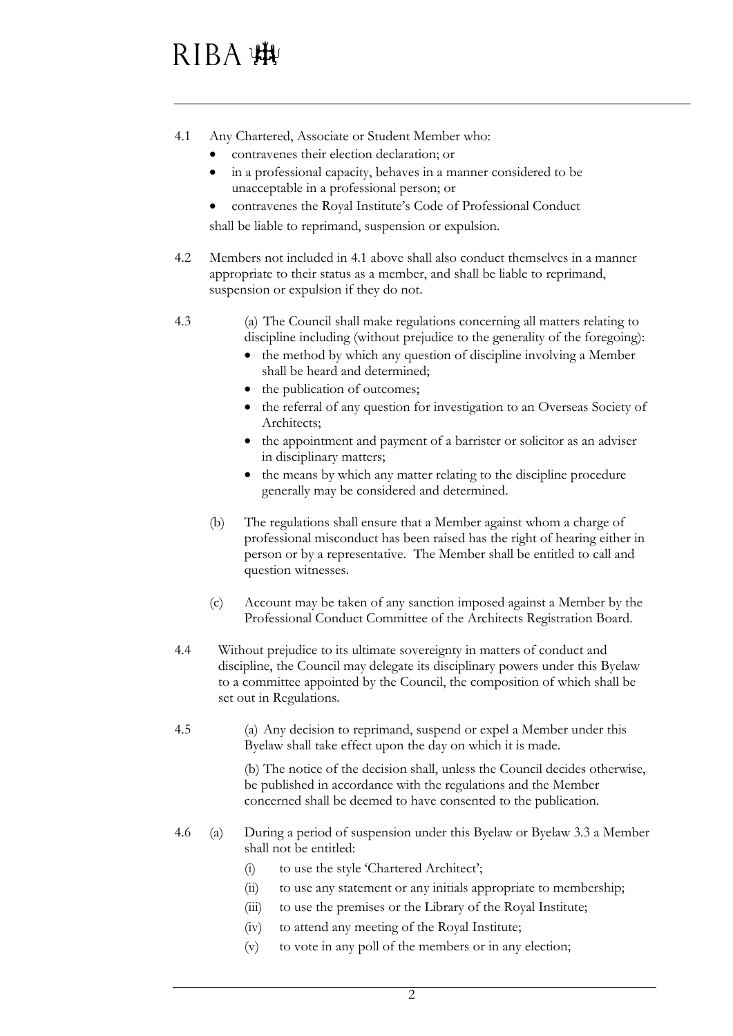# RIBA WW

- 4.1 Any Chartered, Associate or Student Member who:
	- contravenes their election declaration; or
	- in a professional capacity, behaves in a manner considered to be unacceptable in a professional person; or
	- contravenes the Royal Institute's Code of Professional Conduct shall be liable to reprimand, suspension or expulsion.
- 4.2 Members not included in 4.1 above shall also conduct themselves in a manner appropriate to their status as a member, and shall be liable to reprimand, suspension or expulsion if they do not.
- 4.3 (a) The Council shall make regulations concerning all matters relating to discipline including (without prejudice to the generality of the foregoing):
	- the method by which any question of discipline involving a Member shall be heard and determined;
	- the publication of outcomes;
	- the referral of any question for investigation to an Overseas Society of Architects;
	- the appointment and payment of a barrister or solicitor as an adviser in disciplinary matters;
	- the means by which any matter relating to the discipline procedure generally may be considered and determined.
	- (b) The regulations shall ensure that a Member against whom a charge of professional misconduct has been raised has the right of hearing either in person or by a representative. The Member shall be entitled to call and question witnesses.
	- (c) Account may be taken of any sanction imposed against a Member by the Professional Conduct Committee of the Architects Registration Board.
- 4.4 Without prejudice to its ultimate sovereignty in matters of conduct and discipline, the Council may delegate its disciplinary powers under this Byelaw to a committee appointed by the Council, the composition of which shall be set out in Regulations.
- 4.5 (a) Any decision to reprimand, suspend or expel a Member under this Byelaw shall take effect upon the day on which it is made.

(b) The notice of the decision shall, unless the Council decides otherwise, be published in accordance with the regulations and the Member concerned shall be deemed to have consented to the publication.

- 4.6 (a) During a period of suspension under this Byelaw or Byelaw 3.3 a Member shall not be entitled:
	- (i) to use the style 'Chartered Architect';
	- (ii) to use any statement or any initials appropriate to membership;
	- (iii) to use the premises or the Library of the Royal Institute;
	- (iv) to attend any meeting of the Royal Institute;
	- (v) to vote in any poll of the members or in any election;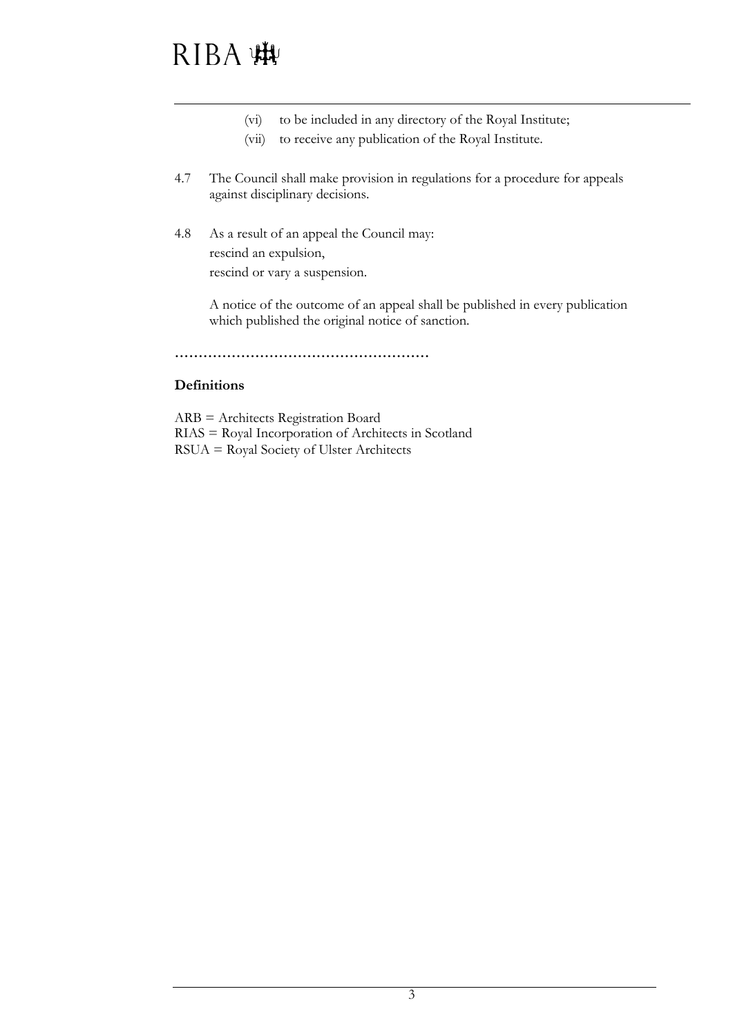# RIBA 脚

- (vi) to be included in any directory of the Royal Institute;
- (vii) to receive any publication of the Royal Institute.
- 4.7 The Council shall make provision in regulations for a procedure for appeals against disciplinary decisions.
- 4.8 As a result of an appeal the Council may: rescind an expulsion, rescind or vary a suspension.

A notice of the outcome of an appeal shall be published in every publication which published the original notice of sanction.

**………………………………………………**

#### **Definitions**

ARB = Architects Registration Board RIAS = Royal Incorporation of Architects in Scotland RSUA = Royal Society of Ulster Architects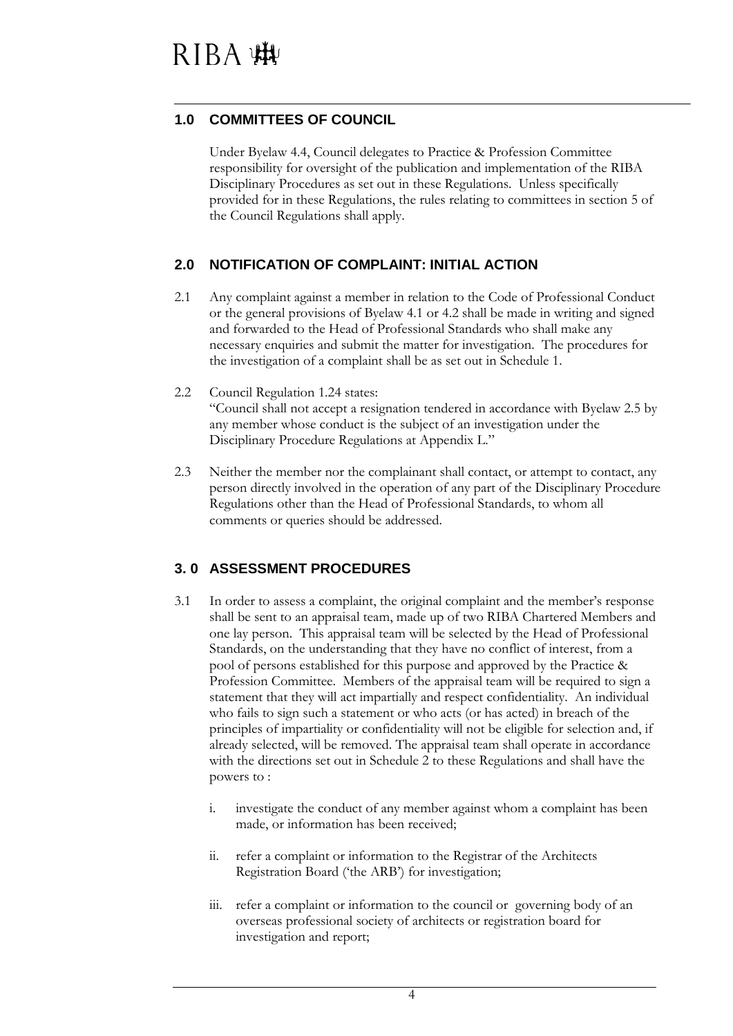#### **1.0 COMMITTEES OF COUNCIL**

Under Byelaw 4.4, Council delegates to Practice & Profession Committee responsibility for oversight of the publication and implementation of the RIBA Disciplinary Procedures as set out in these Regulations. Unless specifically provided for in these Regulations, the rules relating to committees in section 5 of the Council Regulations shall apply.

#### **2.0 NOTIFICATION OF COMPLAINT: INITIAL ACTION**

- 2.1 Any complaint against a member in relation to the Code of Professional Conduct or the general provisions of Byelaw 4.1 or 4.2 shall be made in writing and signed and forwarded to the Head of Professional Standards who shall make any necessary enquiries and submit the matter for investigation. The procedures for the investigation of a complaint shall be as set out in Schedule 1.
- 2.2 Council Regulation 1.24 states: "Council shall not accept a resignation tendered in accordance with Byelaw 2.5 by any member whose conduct is the subject of an investigation under the Disciplinary Procedure Regulations at Appendix L."
- 2.3 Neither the member nor the complainant shall contact, or attempt to contact, any person directly involved in the operation of any part of the Disciplinary Procedure Regulations other than the Head of Professional Standards, to whom all comments or queries should be addressed.

### **3. 0 ASSESSMENT PROCEDURES**

- 3.1 In order to assess a complaint, the original complaint and the member's response shall be sent to an appraisal team, made up of two RIBA Chartered Members and one lay person. This appraisal team will be selected by the Head of Professional Standards, on the understanding that they have no conflict of interest, from a pool of persons established for this purpose and approved by the Practice & Profession Committee. Members of the appraisal team will be required to sign a statement that they will act impartially and respect confidentiality. An individual who fails to sign such a statement or who acts (or has acted) in breach of the principles of impartiality or confidentiality will not be eligible for selection and, if already selected, will be removed. The appraisal team shall operate in accordance with the directions set out in Schedule 2 to these Regulations and shall have the powers to :
	- i. investigate the conduct of any member against whom a complaint has been made, or information has been received;
	- ii. refer a complaint or information to the Registrar of the Architects Registration Board ('the ARB') for investigation;
	- iii. refer a complaint or information to the council or governing body of an overseas professional society of architects or registration board for investigation and report;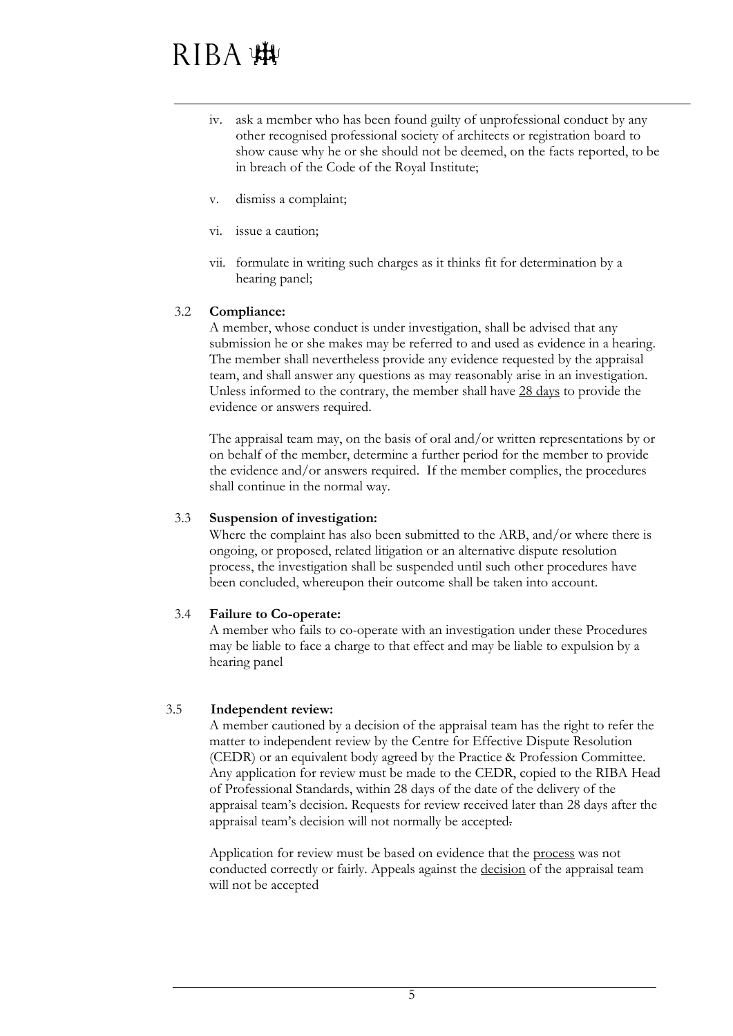- iv. ask a member who has been found guilty of unprofessional conduct by any other recognised professional society of architects or registration board to show cause why he or she should not be deemed, on the facts reported, to be in breach of the Code of the Royal Institute;
- v. dismiss a complaint;
- vi. issue a caution;
- vii. formulate in writing such charges as it thinks fit for determination by a hearing panel;

#### 3.2 **Compliance:**

A member, whose conduct is under investigation, shall be advised that any submission he or she makes may be referred to and used as evidence in a hearing. The member shall nevertheless provide any evidence requested by the appraisal team, and shall answer any questions as may reasonably arise in an investigation. Unless informed to the contrary, the member shall have 28 days to provide the evidence or answers required.

The appraisal team may, on the basis of oral and/or written representations by or on behalf of the member, determine a further period for the member to provide the evidence and/or answers required. If the member complies, the procedures shall continue in the normal way.

#### 3.3 **Suspension of investigation:**

Where the complaint has also been submitted to the ARB, and/or where there is ongoing, or proposed, related litigation or an alternative dispute resolution process, the investigation shall be suspended until such other procedures have been concluded, whereupon their outcome shall be taken into account.

#### 3.4 **Failure to Co-operate:**

A member who fails to co-operate with an investigation under these Procedures may be liable to face a charge to that effect and may be liable to expulsion by a hearing panel

#### 3.5 **Independent review:**

A member cautioned by a decision of the appraisal team has the right to refer the matter to independent review by the Centre for Effective Dispute Resolution (CEDR) or an equivalent body agreed by the Practice & Profession Committee. Any application for review must be made to the CEDR, copied to the RIBA Head of Professional Standards, within 28 days of the date of the delivery of the appraisal team's decision. Requests for review received later than 28 days after the appraisal team's decision will not normally be accepted.

Application for review must be based on evidence that the process was not conducted correctly or fairly. Appeals against the decision of the appraisal team will not be accepted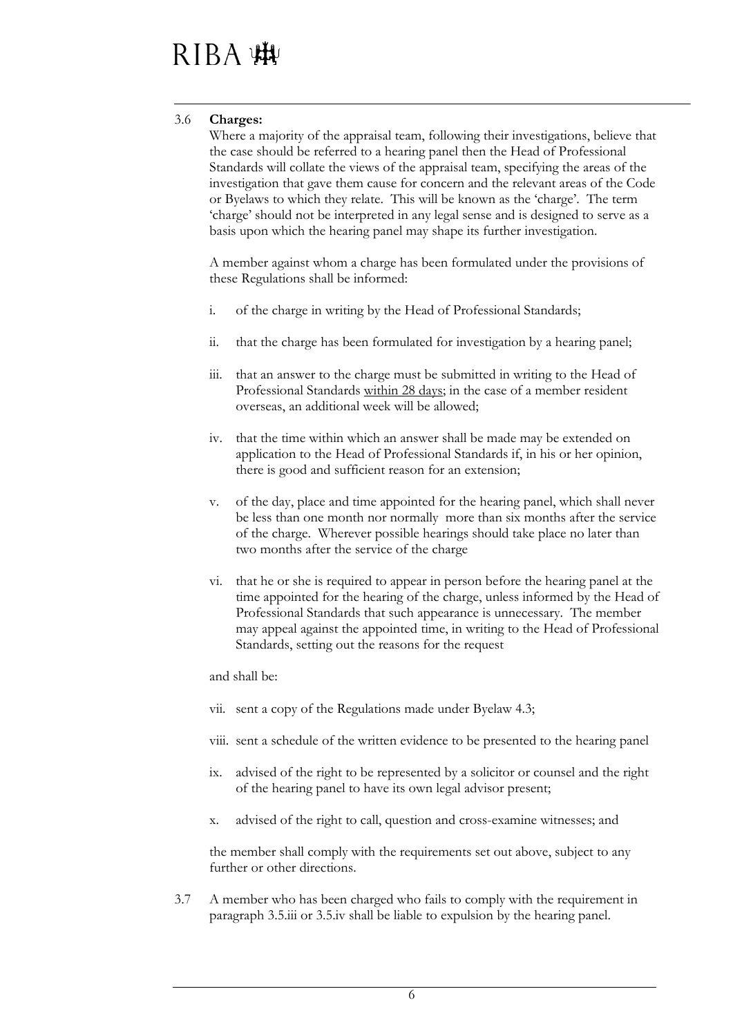#### 3.6 **Charges:**

Where a majority of the appraisal team, following their investigations, believe that the case should be referred to a hearing panel then the Head of Professional Standards will collate the views of the appraisal team, specifying the areas of the investigation that gave them cause for concern and the relevant areas of the Code or Byelaws to which they relate. This will be known as the 'charge'. The term 'charge' should not be interpreted in any legal sense and is designed to serve as a basis upon which the hearing panel may shape its further investigation.

A member against whom a charge has been formulated under the provisions of these Regulations shall be informed:

- i. of the charge in writing by the Head of Professional Standards;
- ii. that the charge has been formulated for investigation by a hearing panel;
- iii. that an answer to the charge must be submitted in writing to the Head of Professional Standards within 28 days; in the case of a member resident overseas, an additional week will be allowed;
- iv. that the time within which an answer shall be made may be extended on application to the Head of Professional Standards if, in his or her opinion, there is good and sufficient reason for an extension;
- v. of the day, place and time appointed for the hearing panel, which shall never be less than one month nor normally more than six months after the service of the charge. Wherever possible hearings should take place no later than two months after the service of the charge
- vi. that he or she is required to appear in person before the hearing panel at the time appointed for the hearing of the charge, unless informed by the Head of Professional Standards that such appearance is unnecessary. The member may appeal against the appointed time, in writing to the Head of Professional Standards, setting out the reasons for the request

and shall be:

- vii. sent a copy of the Regulations made under Byelaw 4.3;
- viii. sent a schedule of the written evidence to be presented to the hearing panel
- ix. advised of the right to be represented by a solicitor or counsel and the right of the hearing panel to have its own legal advisor present;
- x. advised of the right to call, question and cross-examine witnesses; and

the member shall comply with the requirements set out above, subject to any further or other directions.

3.7 A member who has been charged who fails to comply with the requirement in paragraph 3.5.iii or 3.5.iv shall be liable to expulsion by the hearing panel.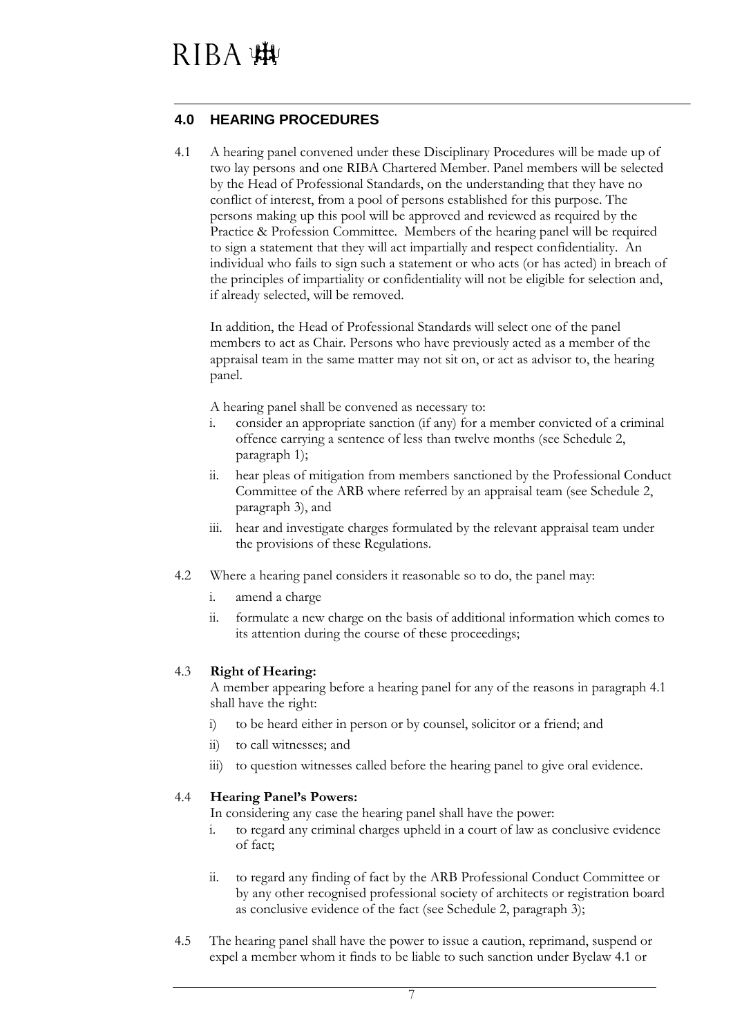#### **4.0 HEARING PROCEDURES**

4.1 A hearing panel convened under these Disciplinary Procedures will be made up of two lay persons and one RIBA Chartered Member. Panel members will be selected by the Head of Professional Standards, on the understanding that they have no conflict of interest, from a pool of persons established for this purpose. The persons making up this pool will be approved and reviewed as required by the Practice & Profession Committee. Members of the hearing panel will be required to sign a statement that they will act impartially and respect confidentiality. An individual who fails to sign such a statement or who acts (or has acted) in breach of the principles of impartiality or confidentiality will not be eligible for selection and, if already selected, will be removed.

In addition, the Head of Professional Standards will select one of the panel members to act as Chair. Persons who have previously acted as a member of the appraisal team in the same matter may not sit on, or act as advisor to, the hearing panel.

A hearing panel shall be convened as necessary to:

- i. consider an appropriate sanction (if any) for a member convicted of a criminal offence carrying a sentence of less than twelve months (see Schedule 2, paragraph 1);
- ii. hear pleas of mitigation from members sanctioned by the Professional Conduct Committee of the ARB where referred by an appraisal team (see Schedule 2, paragraph 3), and
- iii. hear and investigate charges formulated by the relevant appraisal team under the provisions of these Regulations.
- 4.2 Where a hearing panel considers it reasonable so to do, the panel may:
	- i. amend a charge
	- ii. formulate a new charge on the basis of additional information which comes to its attention during the course of these proceedings;

#### 4.3 **Right of Hearing:**

A member appearing before a hearing panel for any of the reasons in paragraph 4.1 shall have the right:

- i) to be heard either in person or by counsel, solicitor or a friend; and
- ii) to call witnesses; and
- iii) to question witnesses called before the hearing panel to give oral evidence.

#### 4.4 **Hearing Panel's Powers:**

In considering any case the hearing panel shall have the power:

- i. to regard any criminal charges upheld in a court of law as conclusive evidence of fact;
- ii. to regard any finding of fact by the ARB Professional Conduct Committee or by any other recognised professional society of architects or registration board as conclusive evidence of the fact (see Schedule 2, paragraph 3);
- 4.5 The hearing panel shall have the power to issue a caution, reprimand, suspend or expel a member whom it finds to be liable to such sanction under Byelaw 4.1 or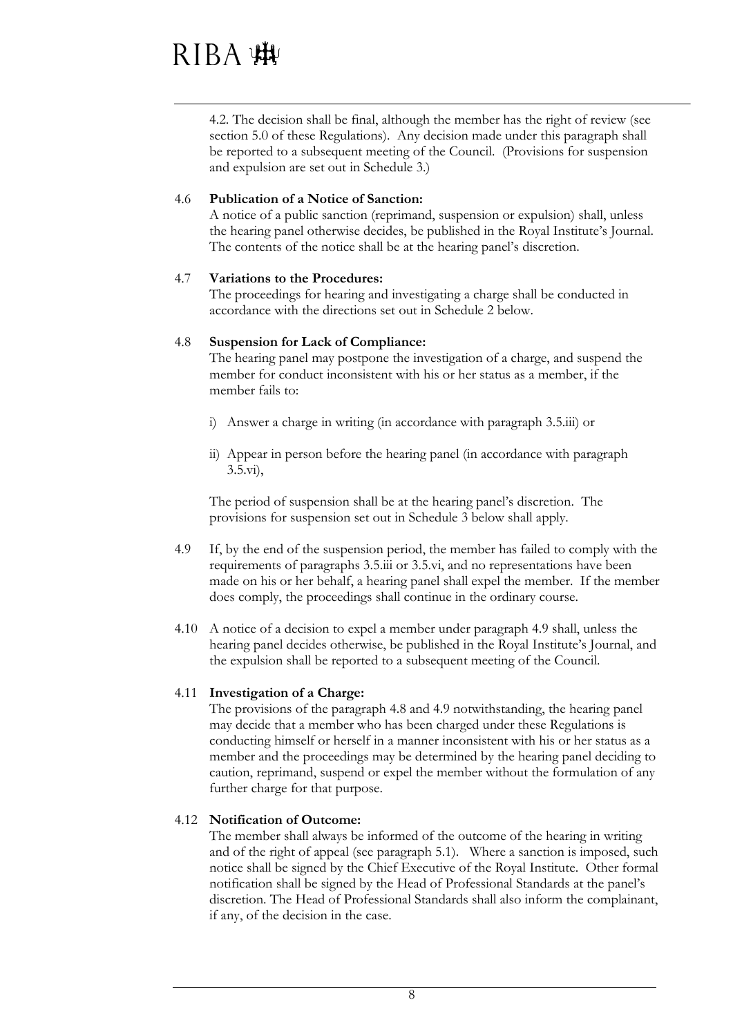4.2. The decision shall be final, although the member has the right of review (see section 5.0 of these Regulations). Any decision made under this paragraph shall be reported to a subsequent meeting of the Council. (Provisions for suspension and expulsion are set out in Schedule 3.)

#### 4.6 **Publication of a Notice of Sanction:**

A notice of a public sanction (reprimand, suspension or expulsion) shall, unless the hearing panel otherwise decides, be published in the Royal Institute's Journal. The contents of the notice shall be at the hearing panel's discretion.

#### 4.7 **Variations to the Procedures:**

The proceedings for hearing and investigating a charge shall be conducted in accordance with the directions set out in Schedule 2 below.

#### 4.8 **Suspension for Lack of Compliance:**

The hearing panel may postpone the investigation of a charge, and suspend the member for conduct inconsistent with his or her status as a member, if the member fails to:

- i) Answer a charge in writing (in accordance with paragraph 3.5.iii) or
- ii) Appear in person before the hearing panel (in accordance with paragraph 3.5.vi),

The period of suspension shall be at the hearing panel's discretion. The provisions for suspension set out in Schedule 3 below shall apply.

- 4.9 If, by the end of the suspension period, the member has failed to comply with the requirements of paragraphs 3.5.iii or 3.5.vi, and no representations have been made on his or her behalf, a hearing panel shall expel the member. If the member does comply, the proceedings shall continue in the ordinary course.
- 4.10 A notice of a decision to expel a member under paragraph 4.9 shall, unless the hearing panel decides otherwise, be published in the Royal Institute's Journal, and the expulsion shall be reported to a subsequent meeting of the Council.

#### 4.11 **Investigation of a Charge:**

The provisions of the paragraph 4.8 and 4.9 notwithstanding, the hearing panel may decide that a member who has been charged under these Regulations is conducting himself or herself in a manner inconsistent with his or her status as a member and the proceedings may be determined by the hearing panel deciding to caution, reprimand, suspend or expel the member without the formulation of any further charge for that purpose.

#### 4.12 **Notification of Outcome:**

The member shall always be informed of the outcome of the hearing in writing and of the right of appeal (see paragraph 5.1). Where a sanction is imposed, such notice shall be signed by the Chief Executive of the Royal Institute. Other formal notification shall be signed by the Head of Professional Standards at the panel's discretion. The Head of Professional Standards shall also inform the complainant, if any, of the decision in the case.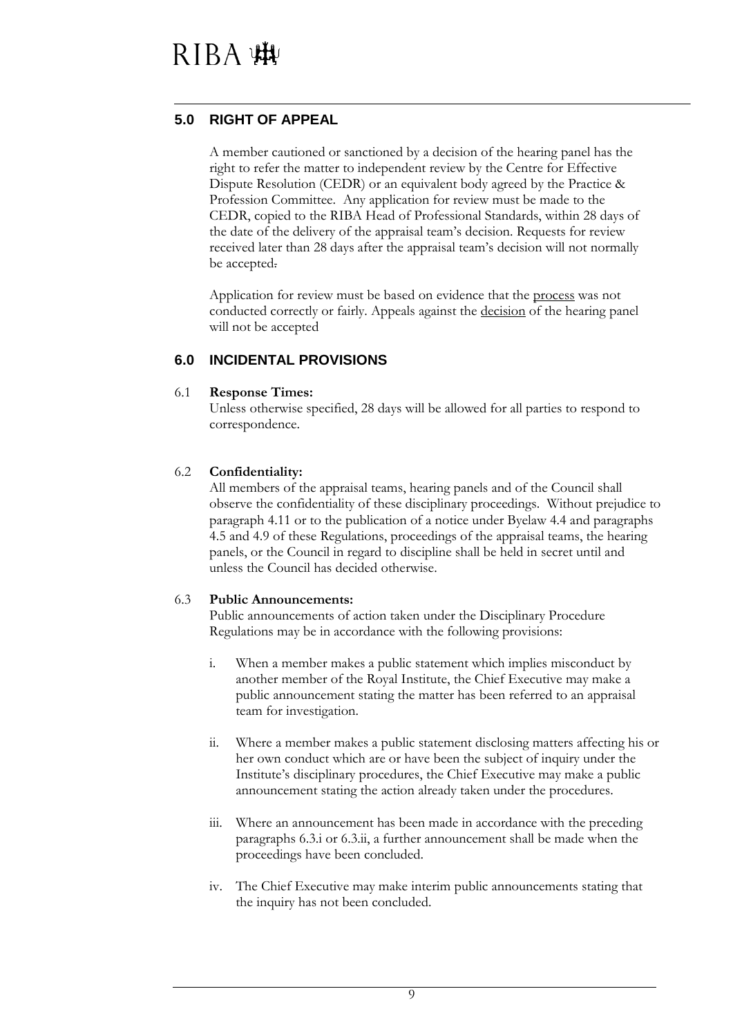#### **5.0 RIGHT OF APPEAL**

A member cautioned or sanctioned by a decision of the hearing panel has the right to refer the matter to independent review by the Centre for Effective Dispute Resolution (CEDR) or an equivalent body agreed by the Practice & Profession Committee. Any application for review must be made to the CEDR, copied to the RIBA Head of Professional Standards, within 28 days of the date of the delivery of the appraisal team's decision. Requests for review received later than 28 days after the appraisal team's decision will not normally be accepted.

Application for review must be based on evidence that the process was not conducted correctly or fairly. Appeals against the decision of the hearing panel will not be accepted

#### **6.0 INCIDENTAL PROVISIONS**

#### 6.1 **Response Times:**

Unless otherwise specified, 28 days will be allowed for all parties to respond to correspondence.

#### 6.2 **Confidentiality:**

All members of the appraisal teams, hearing panels and of the Council shall observe the confidentiality of these disciplinary proceedings. Without prejudice to paragraph 4.11 or to the publication of a notice under Byelaw 4.4 and paragraphs 4.5 and 4.9 of these Regulations, proceedings of the appraisal teams, the hearing panels, or the Council in regard to discipline shall be held in secret until and unless the Council has decided otherwise.

#### 6.3 **Public Announcements:**

Public announcements of action taken under the Disciplinary Procedure Regulations may be in accordance with the following provisions:

- i. When a member makes a public statement which implies misconduct by another member of the Royal Institute, the Chief Executive may make a public announcement stating the matter has been referred to an appraisal team for investigation.
- ii. Where a member makes a public statement disclosing matters affecting his or her own conduct which are or have been the subject of inquiry under the Institute's disciplinary procedures, the Chief Executive may make a public announcement stating the action already taken under the procedures.
- iii. Where an announcement has been made in accordance with the preceding paragraphs 6.3.i or 6.3.ii, a further announcement shall be made when the proceedings have been concluded.
- iv. The Chief Executive may make interim public announcements stating that the inquiry has not been concluded.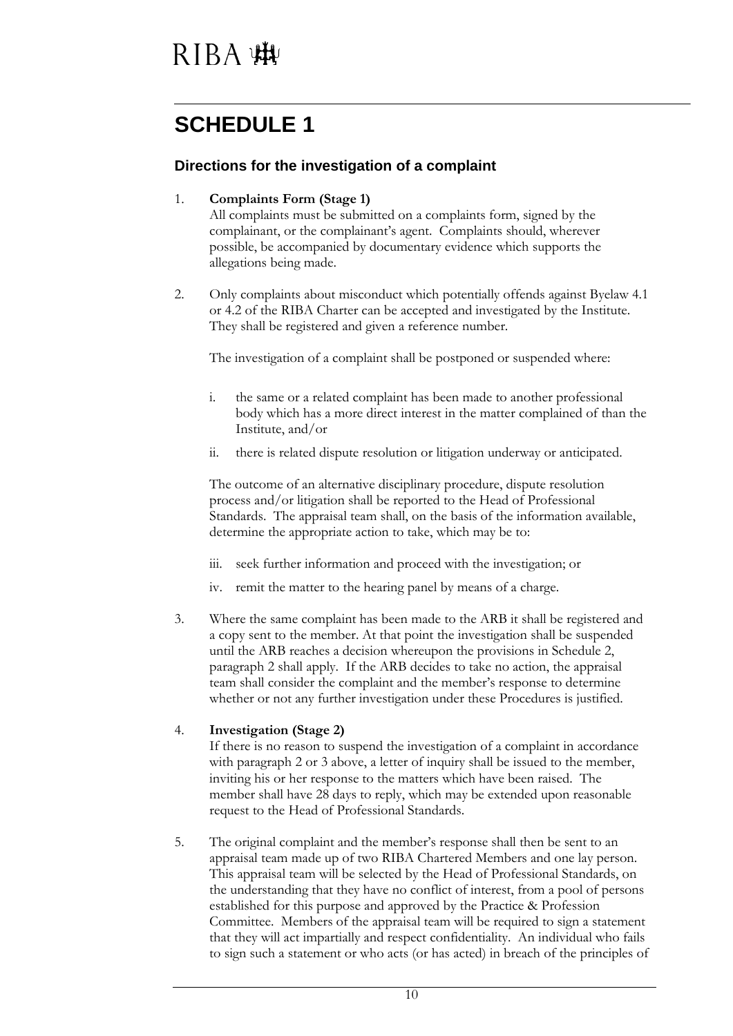### **SCHEDULE 1**

#### **Directions for the investigation of a complaint**

#### 1. **Complaints Form (Stage 1)**

All complaints must be submitted on a complaints form, signed by the complainant, or the complainant's agent. Complaints should, wherever possible, be accompanied by documentary evidence which supports the allegations being made.

2. Only complaints about misconduct which potentially offends against Byelaw 4.1 or 4.2 of the RIBA Charter can be accepted and investigated by the Institute. They shall be registered and given a reference number.

The investigation of a complaint shall be postponed or suspended where:

- i. the same or a related complaint has been made to another professional body which has a more direct interest in the matter complained of than the Institute, and/or
- ii. there is related dispute resolution or litigation underway or anticipated.

The outcome of an alternative disciplinary procedure, dispute resolution process and/or litigation shall be reported to the Head of Professional Standards. The appraisal team shall, on the basis of the information available, determine the appropriate action to take, which may be to:

- iii. seek further information and proceed with the investigation; or
- iv. remit the matter to the hearing panel by means of a charge.
- 3. Where the same complaint has been made to the ARB it shall be registered and a copy sent to the member. At that point the investigation shall be suspended until the ARB reaches a decision whereupon the provisions in Schedule 2, paragraph 2 shall apply. If the ARB decides to take no action, the appraisal team shall consider the complaint and the member's response to determine whether or not any further investigation under these Procedures is justified.

#### 4. **Investigation (Stage 2)**

If there is no reason to suspend the investigation of a complaint in accordance with paragraph 2 or 3 above, a letter of inquiry shall be issued to the member, inviting his or her response to the matters which have been raised. The member shall have 28 days to reply, which may be extended upon reasonable request to the Head of Professional Standards.

5. The original complaint and the member's response shall then be sent to an appraisal team made up of two RIBA Chartered Members and one lay person. This appraisal team will be selected by the Head of Professional Standards, on the understanding that they have no conflict of interest, from a pool of persons established for this purpose and approved by the Practice & Profession Committee. Members of the appraisal team will be required to sign a statement that they will act impartially and respect confidentiality. An individual who fails to sign such a statement or who acts (or has acted) in breach of the principles of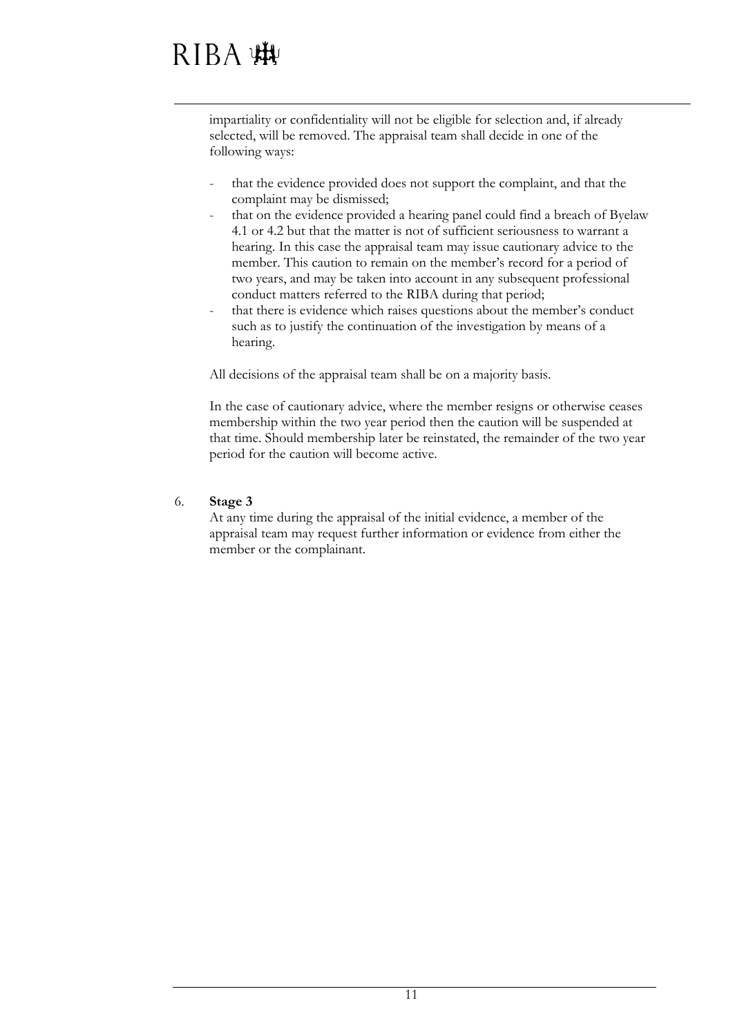# RIBA :#

impartiality or confidentiality will not be eligible for selection and, if already selected, will be removed. The appraisal team shall decide in one of the following ways:

- that the evidence provided does not support the complaint, and that the complaint may be dismissed;
- that on the evidence provided a hearing panel could find a breach of Byelaw 4.1 or 4.2 but that the matter is not of sufficient seriousness to warrant a hearing. In this case the appraisal team may issue cautionary advice to the member. This caution to remain on the member's record for a period of two years, and may be taken into account in any subsequent professional conduct matters referred to the RIBA during that period;
- that there is evidence which raises questions about the member's conduct such as to justify the continuation of the investigation by means of a hearing.

All decisions of the appraisal team shall be on a majority basis.

In the case of cautionary advice, where the member resigns or otherwise ceases membership within the two year period then the caution will be suspended at that time. Should membership later be reinstated, the remainder of the two year period for the caution will become active.

#### 6. **Stage 3**

At any time during the appraisal of the initial evidence, a member of the appraisal team may request further information or evidence from either the member or the complainant.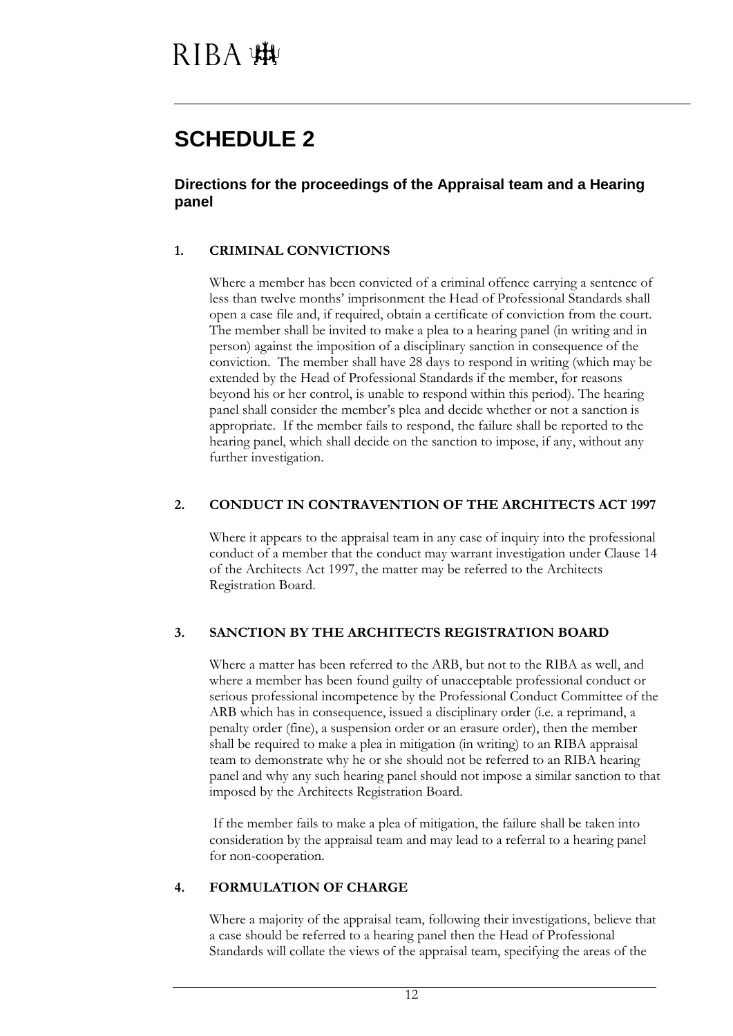### **SCHEDULE 2**

**Directions for the proceedings of the Appraisal team and a Hearing panel** 

#### **1. CRIMINAL CONVICTIONS**

Where a member has been convicted of a criminal offence carrying a sentence of less than twelve months' imprisonment the Head of Professional Standards shall open a case file and, if required, obtain a certificate of conviction from the court. The member shall be invited to make a plea to a hearing panel (in writing and in person) against the imposition of a disciplinary sanction in consequence of the conviction. The member shall have 28 days to respond in writing (which may be extended by the Head of Professional Standards if the member, for reasons beyond his or her control, is unable to respond within this period). The hearing panel shall consider the member's plea and decide whether or not a sanction is appropriate. If the member fails to respond, the failure shall be reported to the hearing panel, which shall decide on the sanction to impose, if any, without any further investigation.

#### **2. CONDUCT IN CONTRAVENTION OF THE ARCHITECTS ACT 1997**

Where it appears to the appraisal team in any case of inquiry into the professional conduct of a member that the conduct may warrant investigation under Clause 14 of the Architects Act 1997, the matter may be referred to the Architects Registration Board.

#### **3. SANCTION BY THE ARCHITECTS REGISTRATION BOARD**

Where a matter has been referred to the ARB, but not to the RIBA as well, and where a member has been found guilty of unacceptable professional conduct or serious professional incompetence by the Professional Conduct Committee of the ARB which has in consequence, issued a disciplinary order (i.e. a reprimand, a penalty order (fine), a suspension order or an erasure order), then the member shall be required to make a plea in mitigation (in writing) to an RIBA appraisal team to demonstrate why he or she should not be referred to an RIBA hearing panel and why any such hearing panel should not impose a similar sanction to that imposed by the Architects Registration Board.

If the member fails to make a plea of mitigation, the failure shall be taken into consideration by the appraisal team and may lead to a referral to a hearing panel for non-cooperation.

#### **4. FORMULATION OF CHARGE**

Where a majority of the appraisal team, following their investigations, believe that a case should be referred to a hearing panel then the Head of Professional Standards will collate the views of the appraisal team, specifying the areas of the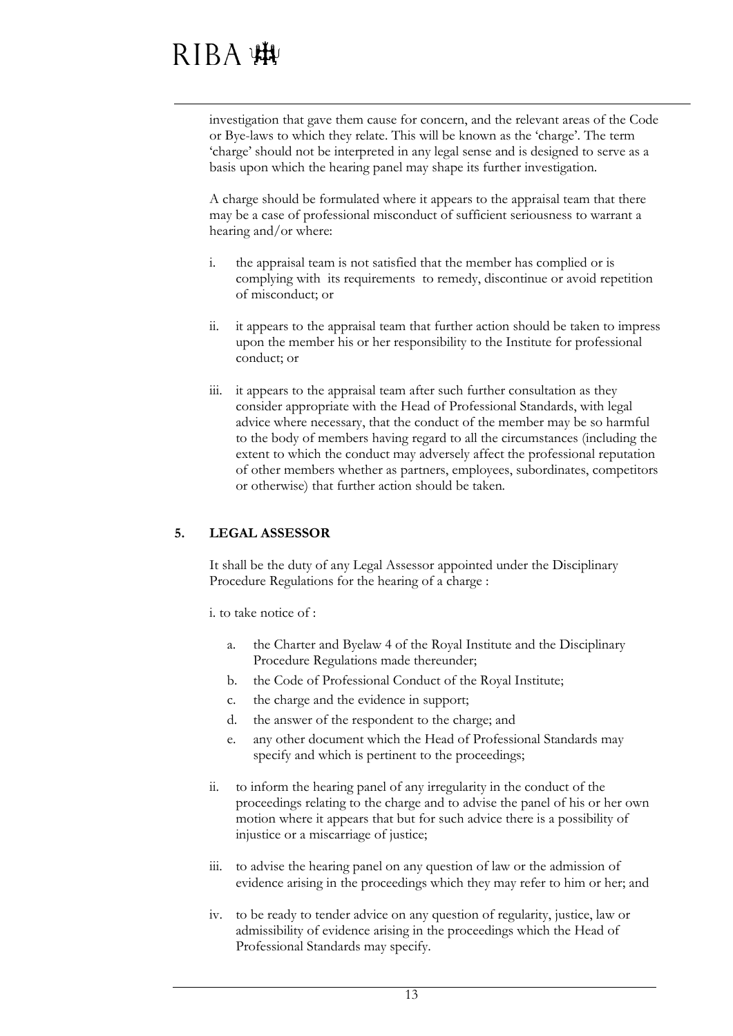investigation that gave them cause for concern, and the relevant areas of the Code or Bye-laws to which they relate. This will be known as the 'charge'. The term 'charge' should not be interpreted in any legal sense and is designed to serve as a basis upon which the hearing panel may shape its further investigation.

A charge should be formulated where it appears to the appraisal team that there may be a case of professional misconduct of sufficient seriousness to warrant a hearing and/or where:

- i. the appraisal team is not satisfied that the member has complied or is complying with its requirements to remedy, discontinue or avoid repetition of misconduct; or
- ii. it appears to the appraisal team that further action should be taken to impress upon the member his or her responsibility to the Institute for professional conduct; or
- iii. it appears to the appraisal team after such further consultation as they consider appropriate with the Head of Professional Standards, with legal advice where necessary, that the conduct of the member may be so harmful to the body of members having regard to all the circumstances (including the extent to which the conduct may adversely affect the professional reputation of other members whether as partners, employees, subordinates, competitors or otherwise) that further action should be taken.

#### **5. LEGAL ASSESSOR**

It shall be the duty of any Legal Assessor appointed under the Disciplinary Procedure Regulations for the hearing of a charge :

i. to take notice of :

- a. the Charter and Byelaw 4 of the Royal Institute and the Disciplinary Procedure Regulations made thereunder;
- b. the Code of Professional Conduct of the Royal Institute;
- c. the charge and the evidence in support;
- d. the answer of the respondent to the charge; and
- e. any other document which the Head of Professional Standards may specify and which is pertinent to the proceedings;
- ii. to inform the hearing panel of any irregularity in the conduct of the proceedings relating to the charge and to advise the panel of his or her own motion where it appears that but for such advice there is a possibility of injustice or a miscarriage of justice;
- iii. to advise the hearing panel on any question of law or the admission of evidence arising in the proceedings which they may refer to him or her; and
- iv. to be ready to tender advice on any question of regularity, justice, law or admissibility of evidence arising in the proceedings which the Head of Professional Standards may specify.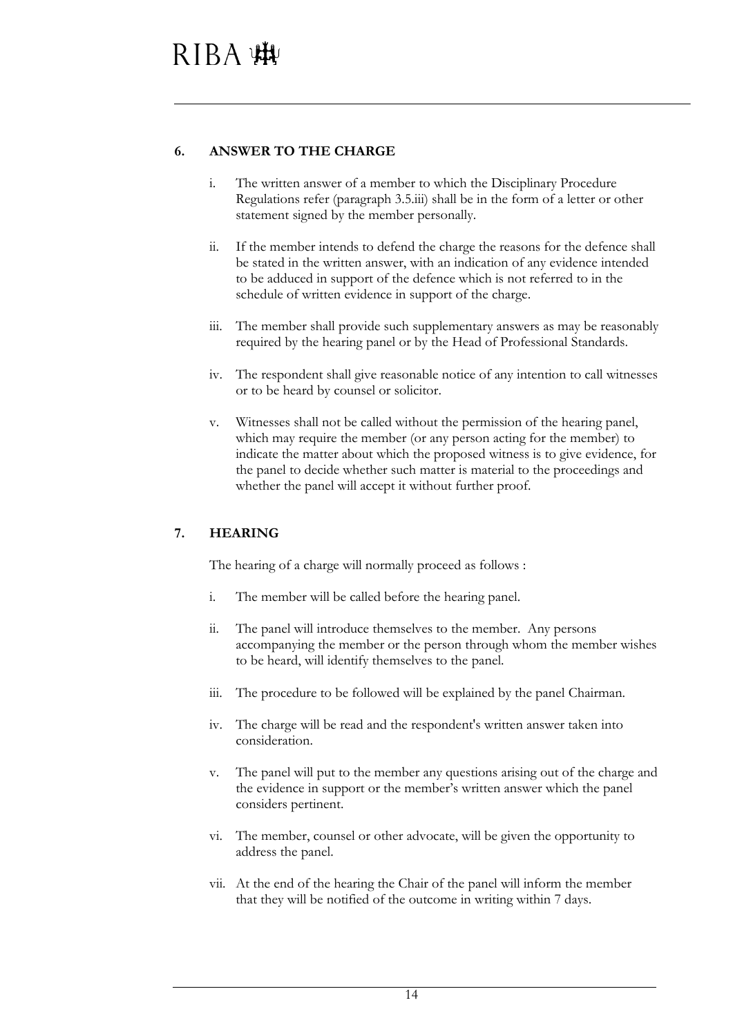#### **6. ANSWER TO THE CHARGE**

- i. The written answer of a member to which the Disciplinary Procedure Regulations refer (paragraph 3.5.iii) shall be in the form of a letter or other statement signed by the member personally.
- ii. If the member intends to defend the charge the reasons for the defence shall be stated in the written answer, with an indication of any evidence intended to be adduced in support of the defence which is not referred to in the schedule of written evidence in support of the charge.
- iii. The member shall provide such supplementary answers as may be reasonably required by the hearing panel or by the Head of Professional Standards.
- iv. The respondent shall give reasonable notice of any intention to call witnesses or to be heard by counsel or solicitor.
- v. Witnesses shall not be called without the permission of the hearing panel, which may require the member (or any person acting for the member) to indicate the matter about which the proposed witness is to give evidence, for the panel to decide whether such matter is material to the proceedings and whether the panel will accept it without further proof.

#### **7. HEARING**

The hearing of a charge will normally proceed as follows :

- i. The member will be called before the hearing panel.
- ii. The panel will introduce themselves to the member. Any persons accompanying the member or the person through whom the member wishes to be heard, will identify themselves to the panel.
- iii. The procedure to be followed will be explained by the panel Chairman.
- iv. The charge will be read and the respondent's written answer taken into consideration.
- v. The panel will put to the member any questions arising out of the charge and the evidence in support or the member's written answer which the panel considers pertinent.
- vi. The member, counsel or other advocate, will be given the opportunity to address the panel.
- vii. At the end of the hearing the Chair of the panel will inform the member that they will be notified of the outcome in writing within 7 days.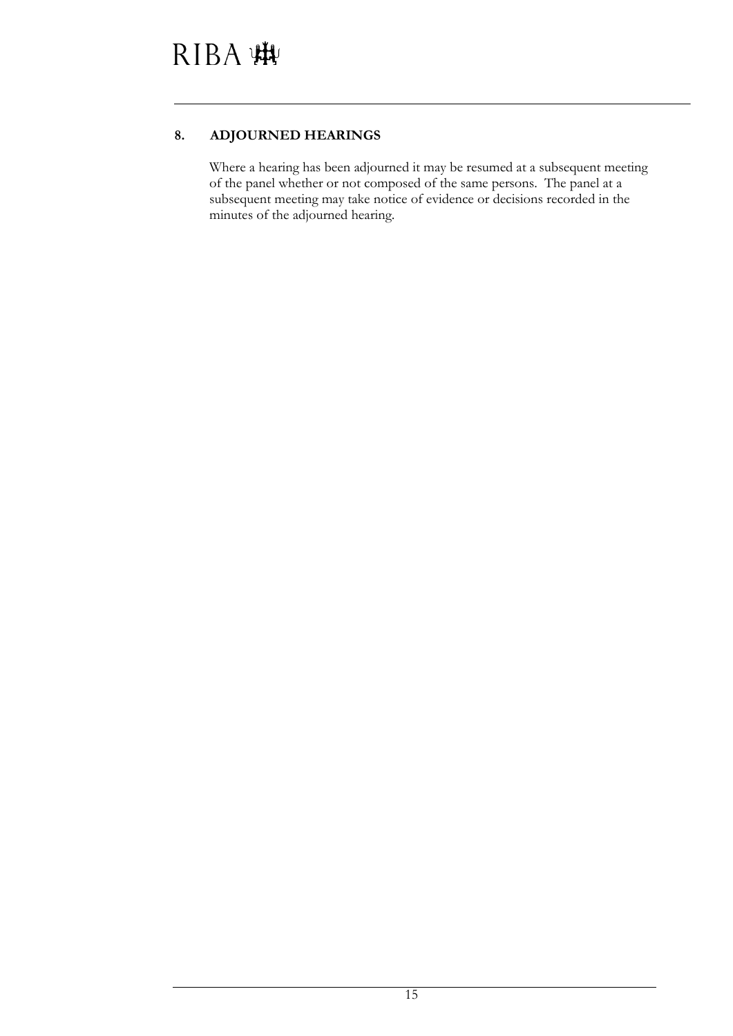#### **8. ADJOURNED HEARINGS**

Where a hearing has been adjourned it may be resumed at a subsequent meeting of the panel whether or not composed of the same persons. The panel at a subsequent meeting may take notice of evidence or decisions recorded in the minutes of the adjourned hearing.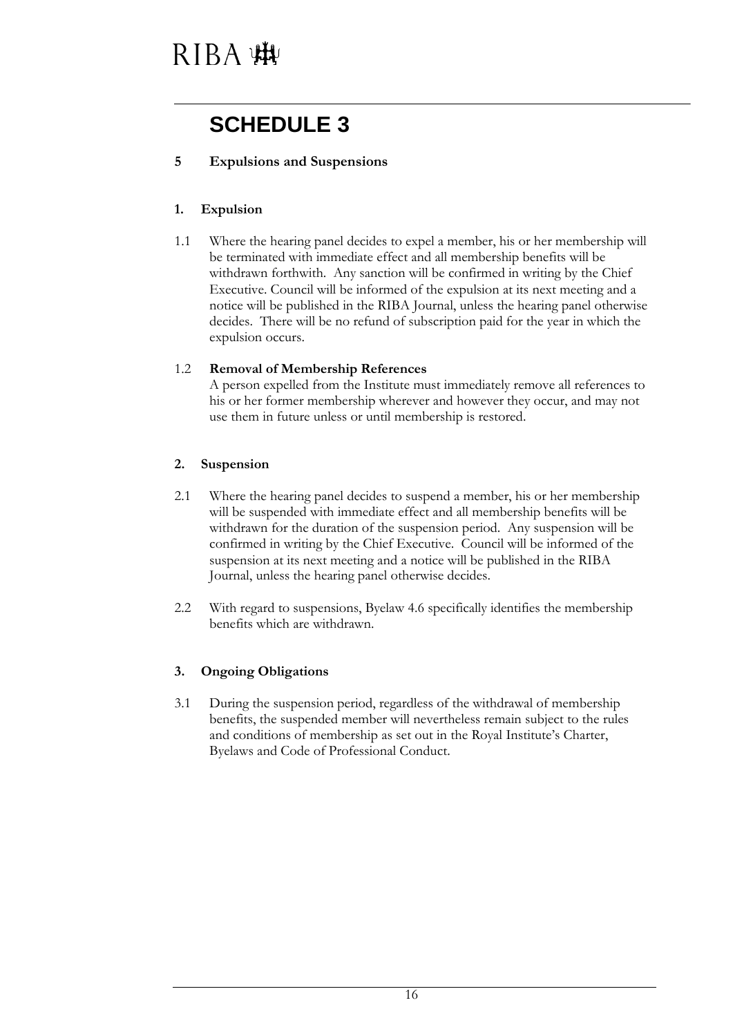### **SCHEDULE 3**

#### **5 Expulsions and Suspensions**

#### **1. Expulsion**

1.1 Where the hearing panel decides to expel a member, his or her membership will be terminated with immediate effect and all membership benefits will be withdrawn forthwith. Any sanction will be confirmed in writing by the Chief Executive. Council will be informed of the expulsion at its next meeting and a notice will be published in the RIBA Journal, unless the hearing panel otherwise decides. There will be no refund of subscription paid for the year in which the expulsion occurs.

#### 1.2 **Removal of Membership References**

A person expelled from the Institute must immediately remove all references to his or her former membership wherever and however they occur, and may not use them in future unless or until membership is restored.

#### **2. Suspension**

- 2.1 Where the hearing panel decides to suspend a member, his or her membership will be suspended with immediate effect and all membership benefits will be withdrawn for the duration of the suspension period. Any suspension will be confirmed in writing by the Chief Executive. Council will be informed of the suspension at its next meeting and a notice will be published in the RIBA Journal, unless the hearing panel otherwise decides.
- 2.2 With regard to suspensions, Byelaw 4.6 specifically identifies the membership benefits which are withdrawn.

#### **3. Ongoing Obligations**

3.1 During the suspension period, regardless of the withdrawal of membership benefits, the suspended member will nevertheless remain subject to the rules and conditions of membership as set out in the Royal Institute's Charter, Byelaws and Code of Professional Conduct.